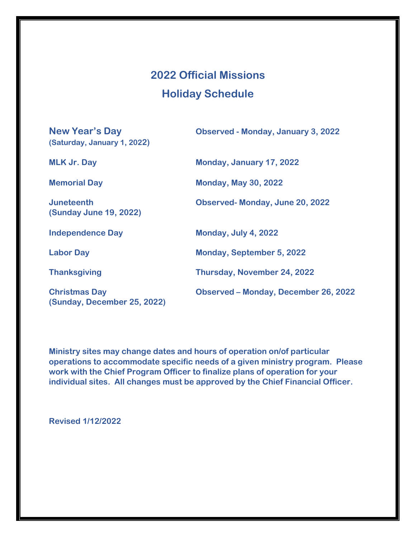## **2022 Official Missions Holiday Schedule**

**(Saturday, January 1, 2022)** 

**(Sunday June 19, 2022)**

**(Sunday, December 25, 2022)**

**New Year's Day Observed - Monday, January 3, 2022**

**MLK Jr. Day Monday, January 17, 2022**

**Memorial Day Monday, May 30, 2022**

**Juneteenth Observed- Monday, June 20, 2022**

**Independence Day Monday, July 4, 2022**

**Labor Day Monday, September 5, 2022**

**Thanksgiving Thursday, November 24, 2022**

**Christmas Day Observed – Monday, December 26, 2022**

**Ministry sites may change dates and hours of operation on/of particular operations to accommodate specific needs of a given ministry program. Please work with the Chief Program Officer to finalize plans of operation for your individual sites. All changes must be approved by the Chief Financial Officer.**

**Revised 1/12/2022**